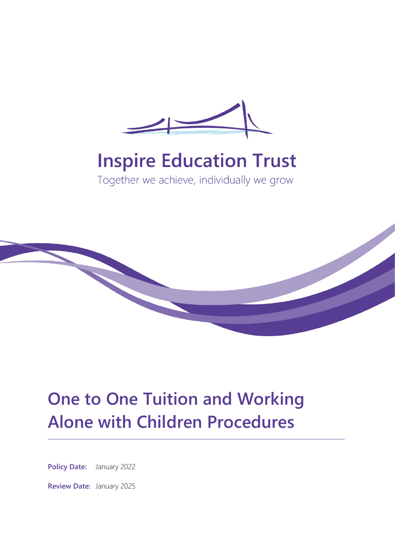

# **Inspire Education Trust**

Together we achieve, individually we grow



## **One to One Tuition and Working Alone with Children Procedures**

**Policy Date:** January 2022

**Review Date:** January 2025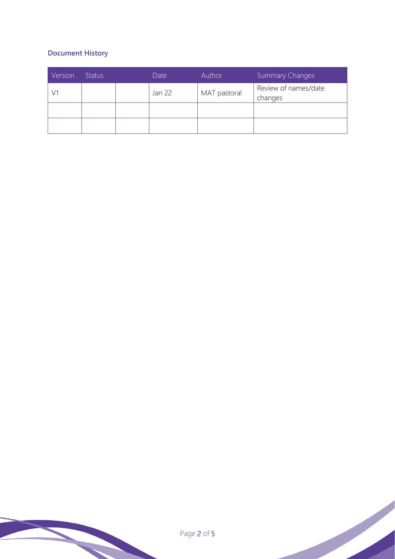### **Document History**

| Version | <b>Status</b> |  | Date   | Author       | <b>Summary Changes</b>          |  |
|---------|---------------|--|--------|--------------|---------------------------------|--|
|         |               |  | Jan 22 | MAT pastoral | Review of names/date<br>changes |  |
|         |               |  |        |              |                                 |  |
|         |               |  |        |              |                                 |  |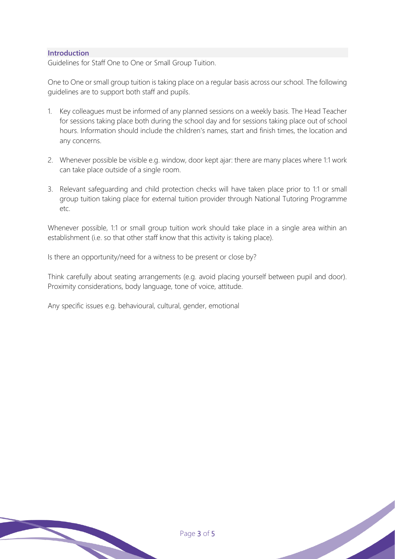#### **Introduction**

Guidelines for Staff One to One or Small Group Tuition.

One to One or small group tuition is taking place on a regular basis across our school. The following guidelines are to support both staff and pupils.

- 1. Key colleagues must be informed of any planned sessions on a weekly basis. The Head Teacher for sessions taking place both during the school day and for sessions taking place out of school hours. Information should include the children's names, start and finish times, the location and any concerns.
- 2. Whenever possible be visible e.g. window, door kept ajar: there are many places where 1:1 work can take place outside of a single room.
- 3. Relevant safeguarding and child protection checks will have taken place prior to 1:1 or small group tuition taking place for external tuition provider through National Tutoring Programme etc.

Whenever possible, 1:1 or small group tuition work should take place in a single area within an establishment (i.e. so that other staff know that this activity is taking place).

Is there an opportunity/need for a witness to be present or close by?

Think carefully about seating arrangements (e.g. avoid placing yourself between pupil and door). Proximity considerations, body language, tone of voice, attitude.

Any specific issues e.g. behavioural, cultural, gender, emotional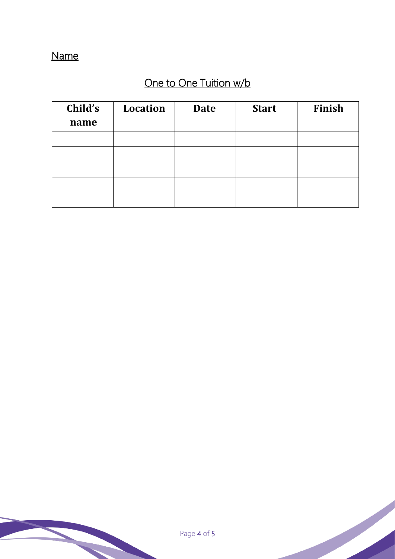## Name

## One to One Tuition w/b

| Child's<br>name | <b>Location</b> | <b>Date</b> | <b>Start</b> | Finish |
|-----------------|-----------------|-------------|--------------|--------|
|                 |                 |             |              |        |
|                 |                 |             |              |        |
|                 |                 |             |              |        |
|                 |                 |             |              |        |
|                 |                 |             |              |        |